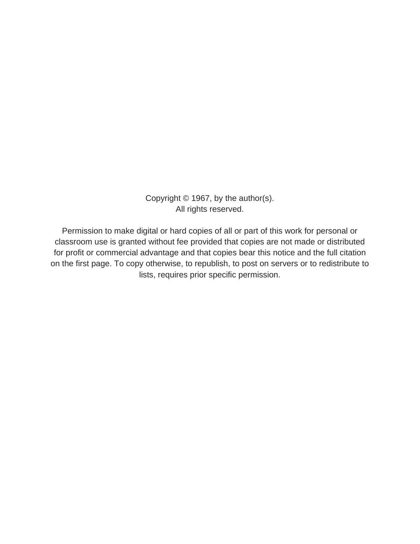Copyright © 1967, by the author(s). All rights reserved.

Permission to make digital or hard copies of all or part of this work for personal or classroom use is granted without fee provided that copies are not made or distributed for profit or commercial advantage and that copies bear this notice and the full citation on the first page. To copy otherwise, to republish, to post on servers or to redistribute to lists, requires prior specific permission.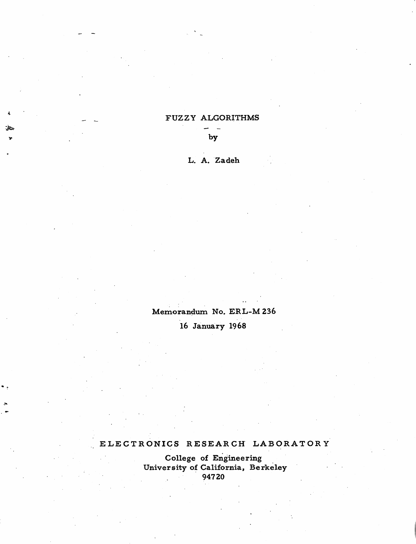## *\_\_ \_\_ FUZZY ALGORITHMS*

*\* ky*

*L. A. Zadeh*

# *Memorandum No. ERL-M236*

*16 January 1968*

# ELECTRONICS RESEARCH LABORATORY

*College of Engineering University of California, Berkeley 94720*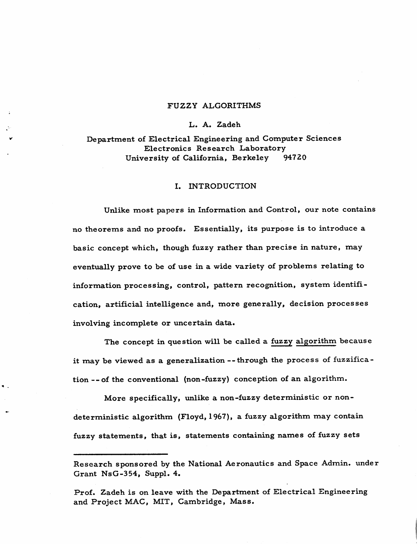### *FUZZY ALGORITHMS*

#### *L. A. Zadeh*

*Department of Electrical Engineering and Computer Sciences Electronics Research Laboratory University of California, Berkeley 94720*

### *I. INTRODUCTION*

*Unlike most papers in Information and Control, our note contains no theorems and no proofs. Essentially, its purpose is to introduce a basic concept which, though fuzzy rather than precise in nature, may eventually prove to be of use in a wide variety of problems relating to information processing, control, pattern recognition, system identifi cation, artificial intelligence and, more generally, decision processes involving incomplete or uncertain data.*

*The concept in question will be called a fuzzy algorithm because it may be viewed as a generalization --through the process of fuzzifica tion --of the conventional (non-fuzzy) conception of an algorithm.*

*More specifically, unlike a non-fuzzy deterministic or nondeterministic algorithm (Floyd, 1967), a fuzzy algorithm may contain fuzzy statements, that is, statements containing names of fuzzy sets*

*Research sponsored by the National Aeronautics and Space Admin, under Grant NsG-354, Suppl. 4.*

*Prof. Zadeh is on leave with the Department of Electrical Engineering and Project MAC, MIT, Cambridge, Mass.*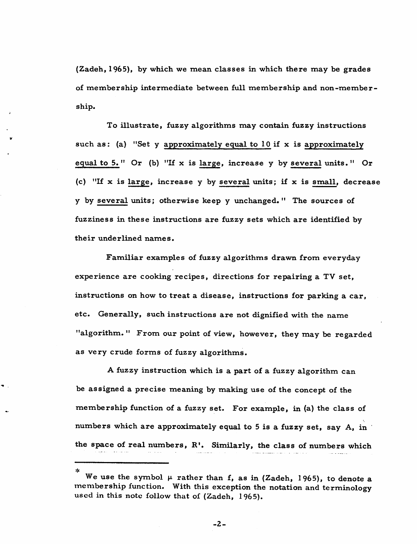*(Zadeh, 1965), by which we mean classes in which there may be grades of membership intermediate between full membership and non-member ship.*

*To illustrate, fuzzy algorithms may contain fuzzy instructions such as: (a) "Set <sup>y</sup> approximately equal to 10 if <sup>x</sup> is approximately equal to 5. " Or (b) "If x is large, increase y by several units. " Or (c) "If x is large, increase y by several units; if x is small, decrease y by several units; otherwise keep y unchanged. " The sources of fuzziness in these instructions are fuzzy sets which are identified by their underlined names.*

*Familiar examples of fuzzy algorithms drawn from everyday experience are cooking recipes, directions for repairing a TV set, instructions on how to treat a disease, instructions for parking a car, etc. Generally, such instructions are not dignified with the name "algorithm. " From our point of view, however, they may be regarded as very crude forms of fuzzy algorithms.*

*A fuzzy instruction which is a part of a fuzzy algorithm can be assigned a precise meaning by making use of the concept of the membership function of a fuzzy set. For example, in (a) the class of numbers which are approximately equal to 5 is a fuzzy set, say A, in the space of real numbers, R1. Similarly, the class of numbers which*

*\**

*We use the symbol u rather than f, as in (Zadeh, 1965), to denote a membership function. With this exception the notation and terminology used in this note follow that of (Zadeh, 1965).*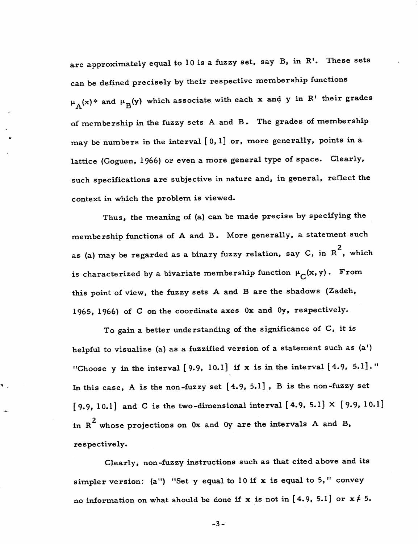are approximately equal to 10 is a fuzzy set, say B, in R'. These sets can be defined precisely by their respective membership functions  $\mu_A(x)^*$  and  $\mu_B(y)$  which associate with each x and y in R' their grades of membership in the fuzzy sets A and B. The grades of membership may be numbers in the interval  $[0, 1]$  or, more generally, points in a lattice (Goguen, 1966) or even a more general type of space. Clearly, such specifications are subjective in nature and, in general, reflect the context in which the problem is viewed.

Thus, the meaning of (a) can be made precise by specifying the membership functions of A and B. More generally, a statement such as (a) may be regarded as a binary fuzzy relation, say C, in  $R^2$ , which is characterized by a bivariate membership function  $\mu_C(x,y)$ . From this point of view, the fuzzy sets A and B are the shadows (Zadeh, 1965, 1966) of C on the coordinate axes Ox and Oy, respectively.

To gain a better understanding of the significance of C, it is helpful to visualize (a) as a fuzzified version of a statement such as (a') "Choose y in the interval [9.9, 10.1] if x is in the interval [4.9, 5.1]." In this case, A is the non-fuzzy set [4.9, 5.1] , B is the non-fuzzy set [9.9, 10.1] and C is the two-dimensional interval [4.9, 5.1]  $\times$  [9.9, 10.1] in  $R^2$  whose projections on 0x and 0y are the intervals A and B, respectively.

 $\blacksquare$ 

Clearly, non-fuzzy instructions such as that cited above and its simpler version: (a") "Set y equal to  $10$  if x is equal to 5," convey no information on what should be done if x is not in [4.9, 5.1] or  $x \neq 5$ .

*-3-*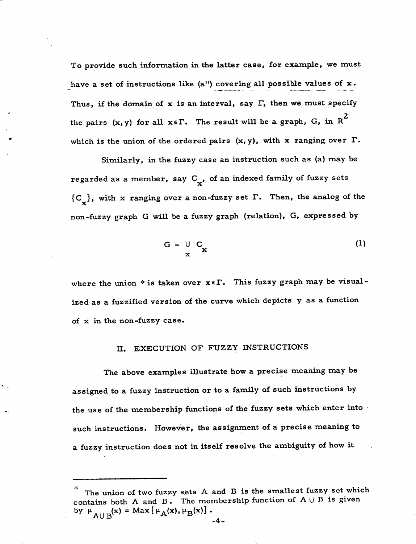To provide such information in the latter case, for example, we must have a set of instructions like (a") covering all possible values of x. Thus, if the domain of x is an interval, say  $\Gamma$ , then we must specify the pairs  $(x, y)$  for all  $x \in \Gamma$ . The result will be a graph, G, in R<sup>2</sup> which is the union of the ordered pairs  $(x, y)$ , with x ranging over  $\Gamma$ .

Similarly, in the fuzzy case an instruction such as (a) may be regarded as a member, say  $C_{\mathbf{y}}$ , of an indexed family of fuzzy sets  ${C_{\bigcup}}$ , with x ranging over a non-fuzzy set  $\Gamma$ . Then, the analog of the non-fuzzy graph G will be a fuzzy graph (relation), G, expressed by

$$
G = \bigcup_{\mathbf{x}} C_{\mathbf{x}} \tag{1}
$$

where the union \* is taken over  $x \in \Gamma$ . This fuzzy graph may be visualized as a fuzzified version of the curve which depicts y as a function of x in the non-fuzzy case.

## II. EXECUTION OF FUZZY INSTRUCTIONS

The above examples illustrate how a precise meaning may be assigned to a fuzzy instruction or to a family of such instructions by the use of the membership functions of the fuzzy sets which enter into such instructions. However, the assignment of a precise meaning to a fuzzy instruction does not in itself resolve the ambiguity of how it

The union of two fuzzy sets A and B is the smallest fuzzy set which contains both A and B. The membership function of  $A \cup B$  is given by  $\mu_{A\cup B}(x) = Max[\mu_A(x),\mu_B(x)]$ .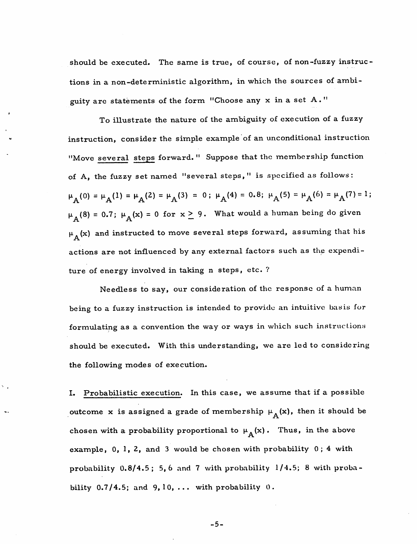should be executed. The same is true, of course, of non-fuzzy instruc tions in a non-deterministic algorithm, in which the sources of ambi guity are statements of the form "Choose any x in a set A. "

To illustrate the nature of the ambiguity of execution of a fuzzy instruction, consider the simple example of an unconditional instruction "Move several steps forward. " Suppose that the membership function of A, the fuzzy set named "several steps," is specified as follows:  $\mu_A(0) = \mu_A(1) = \mu_A(2) = \mu_A(3) = 0; \mu_A(4) = 0.8; \mu_A(5) = \mu_A(6) = \mu_A(7) = 1;$  $\mu_A(8) = 0.7; \ \mu_A(\mathbf{x}) = 0 \text{ for } \mathbf{x} \geq 9$ . What would a human being do given  $\mu_A(x)$  and instructed to move several steps forward, assuming that his actions are not influenced by any external factors such as the expendi ture of energy involved in taking n steps, etc. ?

Needless to say, our consideration of the response of a human being to a fuzzy instruction is intended to provide an intuitive basis for formulating as a convention the way or ways in which such instructions should be executed. With this understanding, we are led to considering the following modes of execution.

I. Probabilistic execution. In this case, we assume that if a possible outcome x is assigned a grade of membership  $\mu_A(x)$ , then it should be chosen with a probability proportional to  $\mu_A(x)$ . Thus, in the above example, 0, 1, 2, and 3 would be chosen with probability 0; 4 with probability  $0.8/4.5$ ; 5,6 and 7 with probability  $1/4.5$ ; 8 with probability  $0.7/4.5$ ; and  $9,10, \ldots$  with probability  $0$ .

*-5-*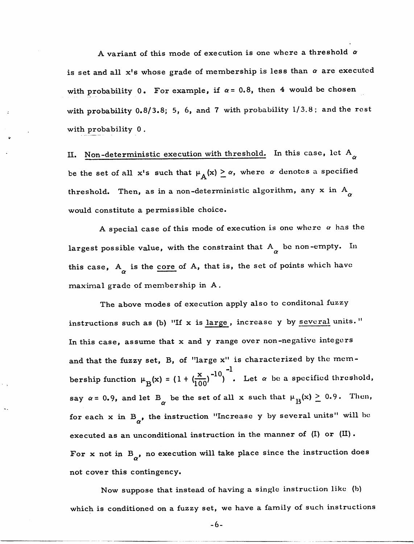A variant of this mode of execution is one where a threshold **a** is set and all  $x'$ s whose grade of membership is less than  $\alpha$  are executed with probability 0. For example, if  $\alpha = 0.8$ , then 4 would be chosen with probability 0.8/3.8; 5, 6, and 7 with probability 1/3.8; and the rest with probability 0 .

II. Non-deterministic execution with threshold. In this case, let  $A^{\alpha}_{\alpha}$ be the set of all x's such that  $\mu_A(x) \ge \alpha$ , where  $\alpha$  denotes a specified threshold. Then, as in a non-deterministic algorithm, any x in  $A^{\dagger}_{\alpha}$ would constitute a permissible choice.

A special case of this mode of execution is one where  $\alpha$  has the largest possible value, with the constraint that  $A_{\alpha}$  be non-empty. In this case,  $A_{\alpha}$  is the <u>core</u> of  $A$ , that is, the set of points which have maximal grade of membership in A.

The above modes of execution apply also to conditonal fuzzy instructions such as (b) "If x is large, increase y by several units." In this case, assume that x and y range over non-negative integers and that the fuzzy set, B, of "large x" is characterized by the membership function  $\mu_B(x) = (1 + (\frac{x}{100})^{-10})^{-1}$ . Let  $\alpha$  be a specified threshold, say  $\alpha = 0.9$ , and let B<sub>o</sub> be the set of all x such that  $\mu_B(x) \ge 0.9$ . Then, for each  $x$  in  $B_{\alpha}$ , the instruction "Increase  $y$  by several units" will be executed as an unconditional instruction in the manner of  $(II)$  or  $(III)$ . For x not in  $B_{\alpha}$ , no execution will take place since the instruction does not cover this contingency.

Now suppose that instead of having a single instruction like (b) which is conditioned on a fuzzy set, we have a family of such instructions

-6-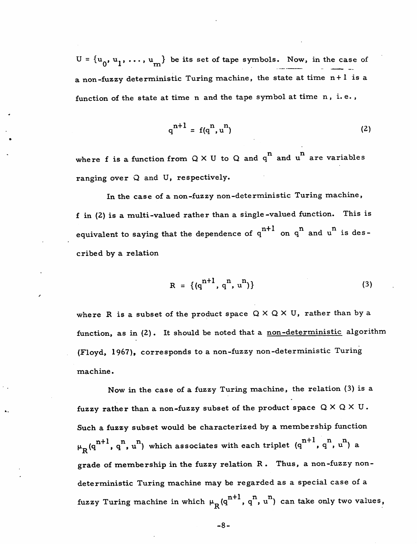$U = {u_0, u_1, ..., u_m}$  be its set of tape symbols. Now, in the case of a non-fuzzy deterministic Turing machine, the state at time n+ 1 is a function of the state at time n and the tape symbol at time n, i. e. ,

$$
q^{n+1} = f(q^n, u^n) \tag{2}
$$

where f is a function from  $Q \times U$  to Q and q<sup>n</sup> and u<sup>n</sup> are variables ranging over  $Q$  and  $U$ , respectively.

In the case of a non-fuzzy non-deterministic Turing machine, f in (2) is a multi-valued rather than a single-valued function. This is equivalent to saying that the dependence of  $q^{n+1}$  on  $q^n$  and  $u^n$  is described by a relation

$$
R = \{ (q^{n+1}, q^n, u^n) \}
$$
 (3)

where R is a subset of the product space  $Q \times Q \times U$ , rather than by a function, as in (2). It should be noted that a non-deterministic algorithm (Floyd, 1967), corresponds to a non-fuzzy non-deterministic Turing machine.

Now in the case of a fuzzy Turing machine, the relation (3) is a fuzzy rather than a non-fuzzy subset of the product space  $Q \times Q \times U$ . Such a fuzzy subset would be characterized by a membership function  $\mu_R(q^{n+1}, q^n, u^n)$  which associates with each triplet  $(q^{n+1}, q^n, u^n)$  a grade of membership in the fuzzy relation R . Thus, a non-fuzzy nondeterministic Turing machine may be regarded as a special case of a fuzzy Turing machine in which  $\mu_R(q^{n+1}, q^n, u^n)$  can take only two values,

*-8-*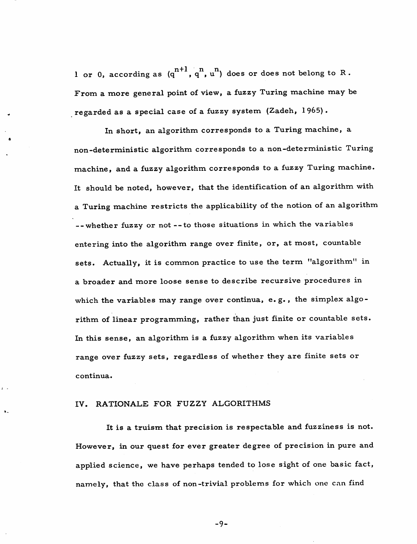1 or 0, according as  $(q^{n+1}, q^n, u^n)$  does or does not belong to R. From a more general point of view, a fuzzy Turing machine may be regarded as a special case of a fuzzy system (Zadeh, 1965).

In short, an algorithm corresponds to a Turing machine, a non-deterministic algorithm corresponds to a non-deterministic Turing machine, and a fuzzy algorithm corresponds to a fuzzy Turing machine. It should be noted, however, that the identification of an algorithm with a Turing machine restricts the applicability of the notion of an algorithm --whether fuzzy or not --to those situations in which the variables entering into the algorithm range over finite, or, at most, countable sets. Actually, it is common practice to use the term "algorithm" in a broader and more loose sense to describe recursive procedures in which the variables may range over continua, e.g., the simplex algorithm of linear programming, rather than just finite or countable sets. In this sense, an algorithm is a fuzzy algorithm when its variables range over fuzzy sets, regardless of whether they are finite sets or continua.

## IV. RATIONALE FOR FUZZY ALGORITHMS

It is a truism that precision is respectable and fuzziness is not. However, in our quest for ever greater degree of precision in pure and applied science, we have perhaps tended to lose sight of one basic fact, namely, that the class of non-trivial problems for which one can find

*-9-*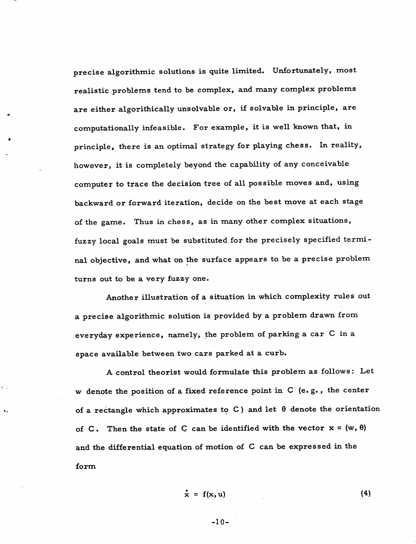precise algorithmic solutions is quite limited. Unfortunately, most realistic problems tend to be complex, and many complex problems are either algorithically unsolvable or, if solvable in principle, are computationally infeasible. For example, it is well known that, in principle, there is an optimal strategy for playing chess. In reality, however, it is completely beyond the capability of any conceivable computer to trace the decision tree of all possible moves and, using backward or forward iteration, decide on the best move at each stage of the game. Thus in chess, as in many other complex situations, fuzzy local goals must be substituted for the precisely specified termi nal objective, and what on the surface appears to be a precise problem turns out to be a very fuzzy one.

Another illustration of a situation in which complexity rules out a precise algorithmic solution is provided by a problem drawn from everyday experience, namely, the problem of parking a car C in a space available between two cars parked at a curb.

A control theorist would formulate this problem as follows: Let w denote the position of a fixed reference point in C (e. g. , the center of a rectangle which approximates to C) and let  $\theta$  denote the orientation of C. Then the state of C can be identified with the vector  $x = (w, \theta)$ and the differential equation of motion of C can be expressed in the form

 $\mathbf{r}$ 

$$
\dot{\mathbf{x}} = \mathbf{f}(\mathbf{x}, \mathbf{u}) \tag{4}
$$

-10-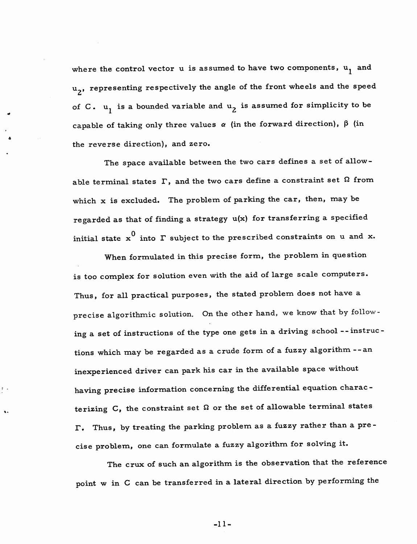where the control vector  $u$  is assumed to have two components,  $u_1$  and u<sub>2</sub>, representing respectively the angle of the front wheels and the speed of C.  $u_1$  is a bounded variable and  $u_2$  is assumed for simplicity to be capable of taking only three values  $\alpha$  (in the forward direction),  $\beta$  (in the reverse direction), and zero.

The space available between the two cars defines a set of allowable terminal states  $\Gamma$ , and the two cars define a constraint set  $\Omega$  from which x is excluded. The problem of parking the car, then, may be regarded as that of finding a strategy u(x) for transferring a specified initial state  $x^0$  into  $\Gamma$  subject to the prescribed constraints on u and x.

When formulated in this precise form, the problem in question is too complex for solution even with the aid of large scale computers. Thus, for all practical purposes, the stated problem does not have a precise algorithmic solution. On the other hand, we know that by follow ing a set of instructions of the type one gets in a driving school --instruc tions which may be regarded as a crude form of a fuzzy algorithm --an inexperienced driver can park his car in the available space without having precise information concerning the differential equation charac terizing C, the constraint set  $\Omega$  or the set of allowable terminal states T. Thus, by treating the parking problem as a fuzzy rather than a pre cise problem, one can formulate a fuzzy algorithm for solving it.

The crux of such an algorithm is the observation that the reference point w in C can be transferred in a lateral direction by performing the

-11-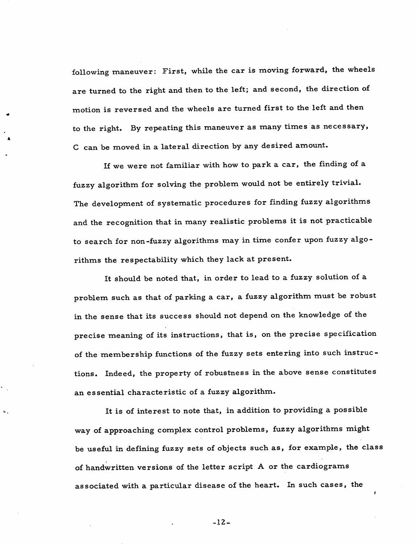following maneuver: First, while the car is moving forward, the wheels are turned to the right and then to the left; and second, the direction of motion is reversed and the wheels are turned first to the left and then to the right. By repeating this maneuver as many times as necessary, C can be moved in a lateral direction by any desired amount.

If we were not familiar with how to park a car, the finding of a fuzzy algorithm for solving the problem would not be entirely trivial. The development of systematic procedures for finding fuzzy algorithms and the recognition that in many realistic problems it is not practicable to search for non-fuzzy algorithms may in time confer upon fuzzy algo rithms the respectability which they lack at present.

It should be noted that, in order to lead to a fuzzy solution of a problem such as that of parking a car, a fuzzy algorithm must be robust in the sense that its success should not depend on the knowledge of the precise meaning of its instructions, that is, on the precise specification of the membership functions of the fuzzy sets entering into such instruc tions. Indeed, the property of robustness in the above sense constitutes an essential characteristic of a fuzzy algorithm.

It is of interest to note that, in addition to providing a possible way of approaching complex control problems, fuzzy algorithms might be useful in defining fuzzy sets of objects such as, for example, the class of handwritten versions of the letter script A or the cardiograms associated with a particular disease of the heart. In such cases, the

 $-12-$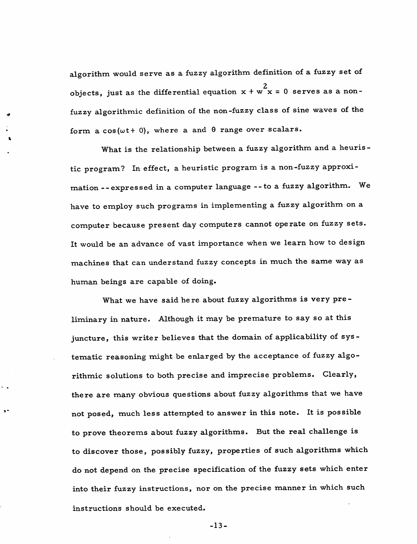algorithm would serve as a fuzzy algorithm definition of a fuzzy set of objects, just as the differential equation  $x + w^2x = 0$  serves as a nonfuzzy algorithmic definition of the non-fuzzy class of sine waves of the form a  $cos(\omega t + 0)$ , where a and  $\theta$  range over scalars.

What is the relationship between a fuzzy algorithm and a heuristic program? In effect, a heuristic program is a non-fuzzy approxi mation --expressed in a computer language --to a fuzzy algorithm. We have to employ such programs in implementing a fuzzy algorithm on a computer because present day computers cannot operate on fuzzy sets. It would be an advance of vast importance when we learn how to design machines that can understand fuzzy concepts in much the same way as human beings are capable of doing.

What we have said here about fuzzy algorithms is very preliminary in nature. Although it may be premature to say so at this juncture, this writer believes that the domain of applicability of sys tematic reasoning might be enlarged by the acceptance of fuzzy algo rithmic solutions to both precise and imprecise problems. Clearly, there are many obvious questions about fuzzy algorithms that we have not posed, much less attempted to answer in this note. It is possible to prove theorems about fuzzy algorithms. But the real challenge is to discover those, possibly fuzzy, properties of such algorithms which do not depend on the precise specification of the fuzzy sets which enter into their fuzzy instructions, nor on the precise manner in which such instructions should be executed.

 $\mathbf{v}$ 

-13-